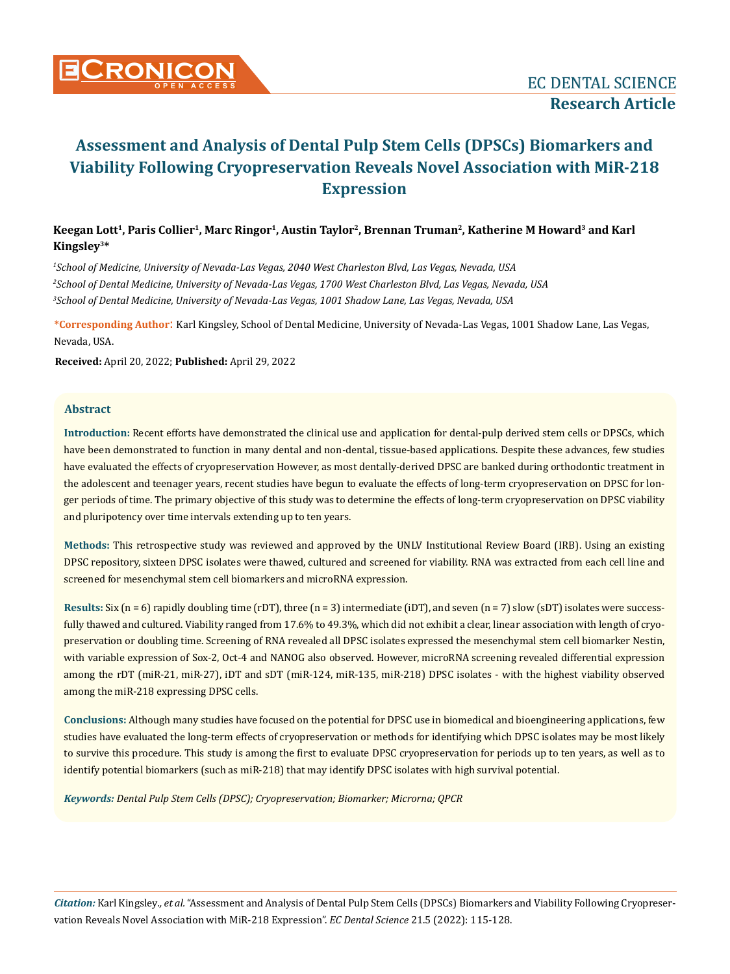

# **Keegan Lott1, Paris Collier1, Marc Ringor1, Austin Taylor2, Brennan Truman2, Katherine M Howard3 and Karl Kingsley3\***

*1 School of Medicine, University of Nevada-Las Vegas, 2040 West Charleston Blvd, Las Vegas, Nevada, USA 2 School of Dental Medicine, University of Nevada-Las Vegas, 1700 West Charleston Blvd, Las Vegas, Nevada, USA 3 School of Dental Medicine, University of Nevada-Las Vegas, 1001 Shadow Lane, Las Vegas, Nevada, USA*

**\*Corresponding Author**: Karl Kingsley, School of Dental Medicine, University of Nevada-Las Vegas, 1001 Shadow Lane, Las Vegas, Nevada, USA.

**Received:** April 20, 2022; **Published:** April 29, 2022

## **Abstract**

**Introduction:** Recent efforts have demonstrated the clinical use and application for dental-pulp derived stem cells or DPSCs, which have been demonstrated to function in many dental and non-dental, tissue-based applications. Despite these advances, few studies have evaluated the effects of cryopreservation However, as most dentally-derived DPSC are banked during orthodontic treatment in the adolescent and teenager years, recent studies have begun to evaluate the effects of long-term cryopreservation on DPSC for longer periods of time. The primary objective of this study was to determine the effects of long-term cryopreservation on DPSC viability and pluripotency over time intervals extending up to ten years.

**Methods:** This retrospective study was reviewed and approved by the UNLV Institutional Review Board (IRB). Using an existing DPSC repository, sixteen DPSC isolates were thawed, cultured and screened for viability. RNA was extracted from each cell line and screened for mesenchymal stem cell biomarkers and microRNA expression.

**Results:** Six (n = 6) rapidly doubling time (rDT), three (n = 3) intermediate (iDT), and seven (n = 7) slow (sDT) isolates were successfully thawed and cultured. Viability ranged from 17.6% to 49.3%, which did not exhibit a clear, linear association with length of cryopreservation or doubling time. Screening of RNA revealed all DPSC isolates expressed the mesenchymal stem cell biomarker Nestin, with variable expression of Sox-2, Oct-4 and NANOG also observed. However, microRNA screening revealed differential expression among the rDT (miR-21, miR-27), iDT and sDT (miR-124, miR-135, miR-218) DPSC isolates - with the highest viability observed among the miR-218 expressing DPSC cells.

**Conclusions:** Although many studies have focused on the potential for DPSC use in biomedical and bioengineering applications, few studies have evaluated the long-term effects of cryopreservation or methods for identifying which DPSC isolates may be most likely to survive this procedure. This study is among the first to evaluate DPSC cryopreservation for periods up to ten years, as well as to identify potential biomarkers (such as miR-218) that may identify DPSC isolates with high survival potential.

*Keywords: Dental Pulp Stem Cells (DPSC); Cryopreservation; Biomarker; Microrna; QPCR*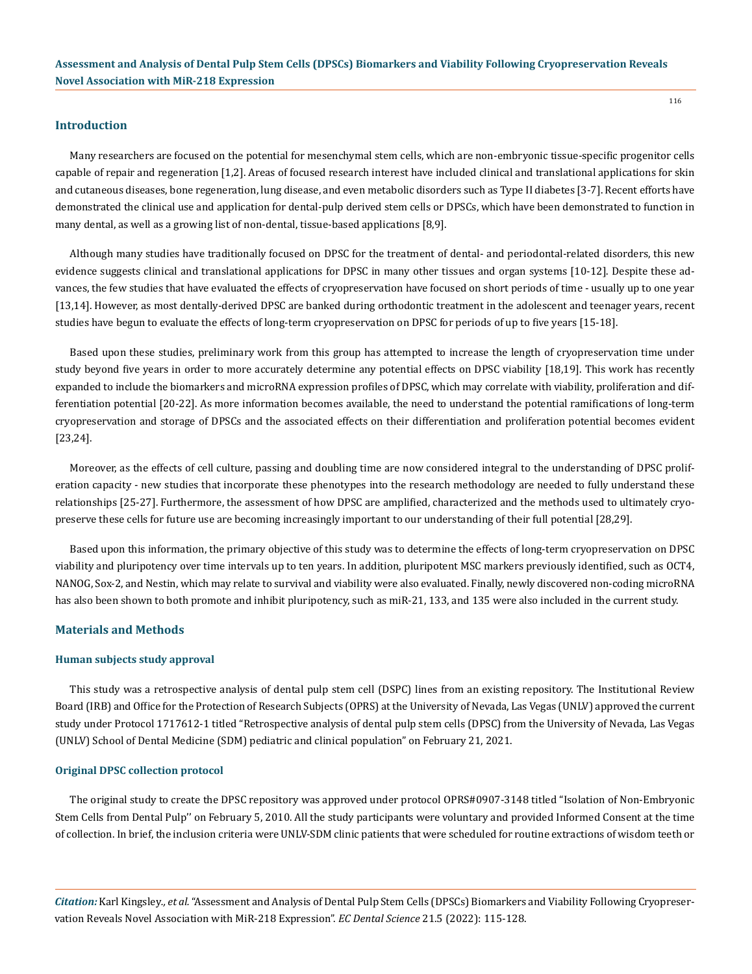### **Introduction**

Many researchers are focused on the potential for mesenchymal stem cells, which are non-embryonic tissue-specific progenitor cells capable of repair and regeneration [1,2]. Areas of focused research interest have included clinical and translational applications for skin and cutaneous diseases, bone regeneration, lung disease, and even metabolic disorders such as Type II diabetes [3-7]. Recent efforts have demonstrated the clinical use and application for dental-pulp derived stem cells or DPSCs, which have been demonstrated to function in many dental, as well as a growing list of non-dental, tissue-based applications [8,9].

Although many studies have traditionally focused on DPSC for the treatment of dental- and periodontal-related disorders, this new evidence suggests clinical and translational applications for DPSC in many other tissues and organ systems [10-12]. Despite these advances, the few studies that have evaluated the effects of cryopreservation have focused on short periods of time - usually up to one year [13,14]. However, as most dentally-derived DPSC are banked during orthodontic treatment in the adolescent and teenager years, recent studies have begun to evaluate the effects of long-term cryopreservation on DPSC for periods of up to five years [15-18].

Based upon these studies, preliminary work from this group has attempted to increase the length of cryopreservation time under study beyond five years in order to more accurately determine any potential effects on DPSC viability [18,19]. This work has recently expanded to include the biomarkers and microRNA expression profiles of DPSC, which may correlate with viability, proliferation and differentiation potential [20-22]. As more information becomes available, the need to understand the potential ramifications of long-term cryopreservation and storage of DPSCs and the associated effects on their differentiation and proliferation potential becomes evident [23,24].

Moreover, as the effects of cell culture, passing and doubling time are now considered integral to the understanding of DPSC proliferation capacity - new studies that incorporate these phenotypes into the research methodology are needed to fully understand these relationships [25-27]. Furthermore, the assessment of how DPSC are amplified, characterized and the methods used to ultimately cryopreserve these cells for future use are becoming increasingly important to our understanding of their full potential [28,29].

Based upon this information, the primary objective of this study was to determine the effects of long-term cryopreservation on DPSC viability and pluripotency over time intervals up to ten years. In addition, pluripotent MSC markers previously identified, such as OCT4, NANOG, Sox-2, and Nestin, which may relate to survival and viability were also evaluated. Finally, newly discovered non-coding microRNA has also been shown to both promote and inhibit pluripotency, such as miR-21, 133, and 135 were also included in the current study.

#### **Materials and Methods**

#### **Human subjects study approval**

This study was a retrospective analysis of dental pulp stem cell (DSPC) lines from an existing repository. The Institutional Review Board (IRB) and Office for the Protection of Research Subjects (OPRS) at the University of Nevada, Las Vegas (UNLV) approved the current study under Protocol 1717612-1 titled "Retrospective analysis of dental pulp stem cells (DPSC) from the University of Nevada, Las Vegas (UNLV) School of Dental Medicine (SDM) pediatric and clinical population" on February 21, 2021.

#### **Original DPSC collection protocol**

The original study to create the DPSC repository was approved under protocol OPRS#0907-3148 titled "Isolation of Non-Embryonic Stem Cells from Dental Pulp'' on February 5, 2010. All the study participants were voluntary and provided Informed Consent at the time of collection. In brief, the inclusion criteria were UNLV-SDM clinic patients that were scheduled for routine extractions of wisdom teeth or

*Citation:* Karl Kingsley*., et al.* "Assessment and Analysis of Dental Pulp Stem Cells (DPSCs) Biomarkers and Viability Following Cryopreservation Reveals Novel Association with MiR-218 Expression". *EC Dental Science* 21.5 (2022): 115-128.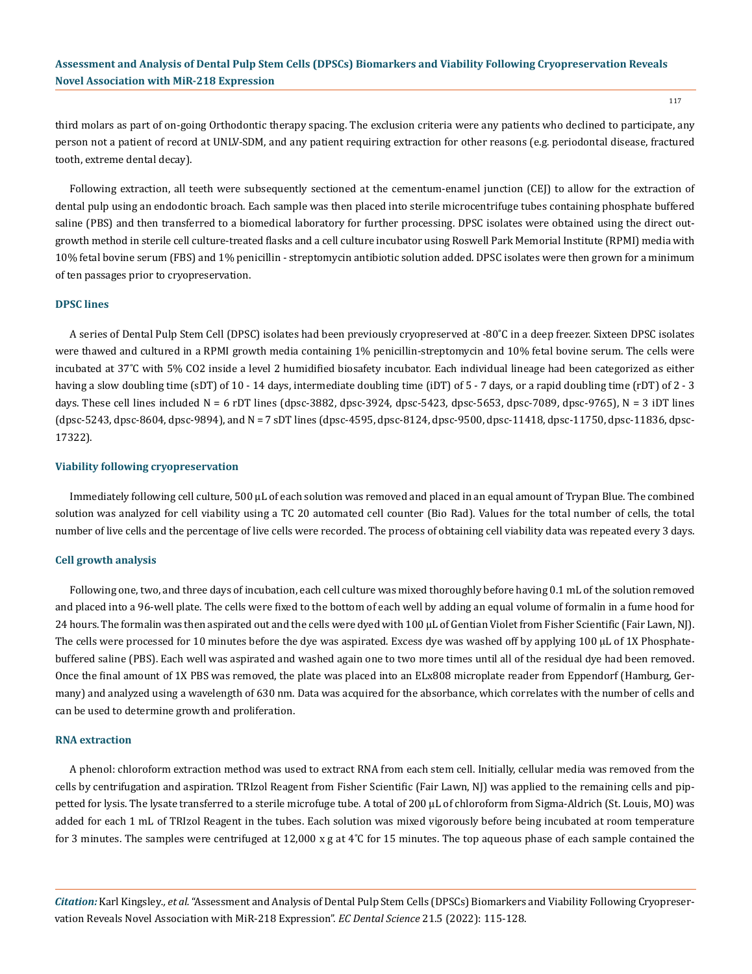117

third molars as part of on-going Orthodontic therapy spacing. The exclusion criteria were any patients who declined to participate, any person not a patient of record at UNLV-SDM, and any patient requiring extraction for other reasons (e.g. periodontal disease, fractured tooth, extreme dental decay).

Following extraction, all teeth were subsequently sectioned at the cementum-enamel junction (CEJ) to allow for the extraction of dental pulp using an endodontic broach. Each sample was then placed into sterile microcentrifuge tubes containing phosphate buffered saline (PBS) and then transferred to a biomedical laboratory for further processing. DPSC isolates were obtained using the direct outgrowth method in sterile cell culture-treated flasks and a cell culture incubator using Roswell Park Memorial Institute (RPMI) media with 10% fetal bovine serum (FBS) and 1% penicillin - streptomycin antibiotic solution added. DPSC isolates were then grown for a minimum of ten passages prior to cryopreservation.

#### **DPSC lines**

A series of Dental Pulp Stem Cell (DPSC) isolates had been previously cryopreserved at -80˚C in a deep freezer. Sixteen DPSC isolates were thawed and cultured in a RPMI growth media containing 1% penicillin-streptomycin and 10% fetal bovine serum. The cells were incubated at 37˚C with 5% CO2 inside a level 2 humidified biosafety incubator. Each individual lineage had been categorized as either having a slow doubling time (sDT) of 10 - 14 days, intermediate doubling time (iDT) of 5 - 7 days, or a rapid doubling time (rDT) of 2 - 3 days. These cell lines included  $N = 6$  rDT lines (dpsc-3882, dpsc-3924, dpsc-5423, dpsc-5653, dpsc-7089, dpsc-9765),  $N = 3$  iDT lines (dpsc-5243, dpsc-8604, dpsc-9894), and N = 7 sDT lines (dpsc-4595, dpsc-8124, dpsc-9500, dpsc-11418, dpsc-11750, dpsc-11836, dpsc-17322).

#### **Viability following cryopreservation**

Immediately following cell culture, 500 µL of each solution was removed and placed in an equal amount of Trypan Blue. The combined solution was analyzed for cell viability using a TC 20 automated cell counter (Bio Rad). Values for the total number of cells, the total number of live cells and the percentage of live cells were recorded. The process of obtaining cell viability data was repeated every 3 days.

#### **Cell growth analysis**

Following one, two, and three days of incubation, each cell culture was mixed thoroughly before having 0.1 mL of the solution removed and placed into a 96-well plate. The cells were fixed to the bottom of each well by adding an equal volume of formalin in a fume hood for 24 hours. The formalin was then aspirated out and the cells were dyed with 100 µL of Gentian Violet from Fisher Scientific (Fair Lawn, NJ). The cells were processed for 10 minutes before the dye was aspirated. Excess dye was washed off by applying 100 µL of 1X Phosphatebuffered saline (PBS). Each well was aspirated and washed again one to two more times until all of the residual dye had been removed. Once the final amount of 1X PBS was removed, the plate was placed into an ELx808 microplate reader from Eppendorf (Hamburg, Germany) and analyzed using a wavelength of 630 nm. Data was acquired for the absorbance, which correlates with the number of cells and can be used to determine growth and proliferation.

#### **RNA extraction**

A phenol: chloroform extraction method was used to extract RNA from each stem cell. Initially, cellular media was removed from the cells by centrifugation and aspiration. TRIzol Reagent from Fisher Scientific (Fair Lawn, NJ) was applied to the remaining cells and pippetted for lysis. The lysate transferred to a sterile microfuge tube. A total of 200 µL of chloroform from Sigma-Aldrich (St. Louis, MO) was added for each 1 mL of TRIzol Reagent in the tubes. Each solution was mixed vigorously before being incubated at room temperature for 3 minutes. The samples were centrifuged at 12,000 x g at  $4^{\circ}$ C for 15 minutes. The top aqueous phase of each sample contained the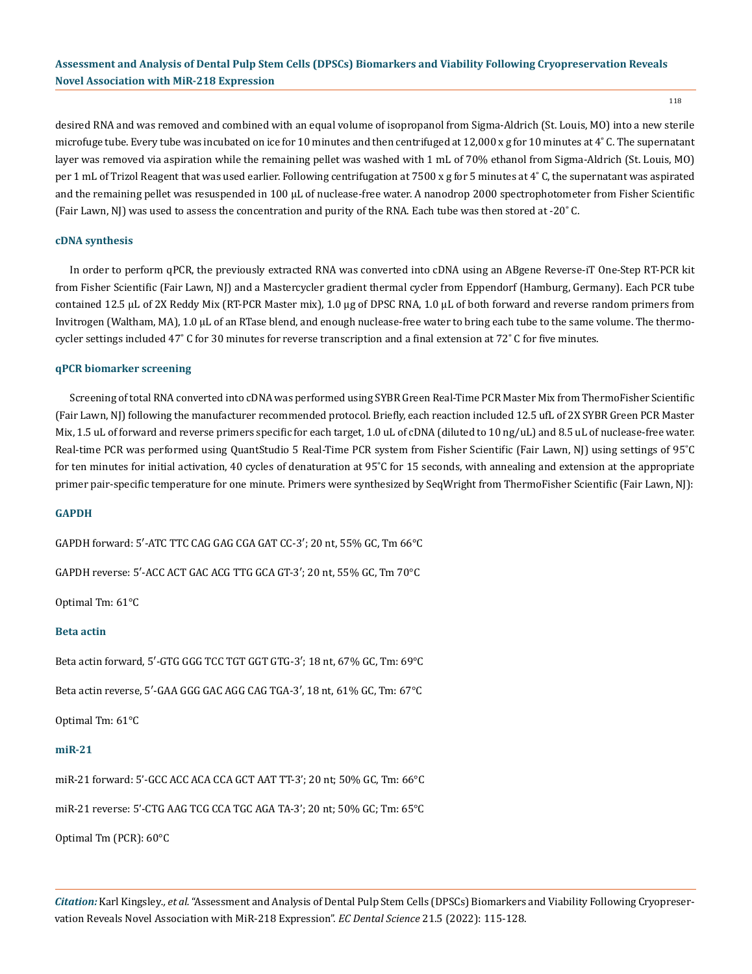118

desired RNA and was removed and combined with an equal volume of isopropanol from Sigma-Aldrich (St. Louis, MO) into a new sterile microfuge tube. Every tube was incubated on ice for 10 minutes and then centrifuged at 12,000 x g for 10 minutes at  $4^{\circ}$  C. The supernatant layer was removed via aspiration while the remaining pellet was washed with 1 mL of 70% ethanol from Sigma-Aldrich (St. Louis, MO) per 1 mL of Trizol Reagent that was used earlier. Following centrifugation at 7500 x g for 5 minutes at 4°C, the supernatant was aspirated and the remaining pellet was resuspended in 100  $\mu$ L of nuclease-free water. A nanodrop 2000 spectrophotometer from Fisher Scientific (Fair Lawn, NJ) was used to assess the concentration and purity of the RNA. Each tube was then stored at -20˚ C.

#### **cDNA synthesis**

In order to perform qPCR, the previously extracted RNA was converted into cDNA using an ABgene Reverse-iT One-Step RT-PCR kit from Fisher Scientific (Fair Lawn, NJ) and a Mastercycler gradient thermal cycler from Eppendorf (Hamburg, Germany). Each PCR tube contained 12.5 µL of 2X Reddy Mix (RT-PCR Master mix), 1.0 µg of DPSC RNA, 1.0 µL of both forward and reverse random primers from Invitrogen (Waltham, MA), 1.0 µL of an RTase blend, and enough nuclease-free water to bring each tube to the same volume. The thermocycler settings included 47˚ C for 30 minutes for reverse transcription and a final extension at 72˚ C for five minutes.

#### **qPCR biomarker screening**

Screening of total RNA converted into cDNA was performed using SYBR Green Real-Time PCR Master Mix from ThermoFisher Scientific (Fair Lawn, NJ) following the manufacturer recommended protocol. Briefly, each reaction included 12.5 ufL of 2X SYBR Green PCR Master Mix, 1.5 uL of forward and reverse primers specific for each target, 1.0 uL of cDNA (diluted to 10 ng/uL) and 8.5 uL of nuclease-free water. Real-time PCR was performed using QuantStudio 5 Real-Time PCR system from Fisher Scientific (Fair Lawn, NJ) using settings of 95˚C for ten minutes for initial activation, 40 cycles of denaturation at 95˚C for 15 seconds, with annealing and extension at the appropriate primer pair-specific temperature for one minute. Primers were synthesized by SeqWright from ThermoFisher Scientific (Fair Lawn, NJ):

#### **GAPDH**

GAPDH forward: 5′-ATC TTC CAG GAG CGA GAT CC-3′; 20 nt, 55% GC, Tm 66°C

GAPDH reverse: 5′-ACC ACT GAC ACG TTG GCA GT-3′; 20 nt, 55% GC, Tm 70°C

Optimal Tm: 61°C

#### **Beta actin**

Beta actin forward, 5′-GTG GGG TCC TGT GGT GTG-3′; 18 nt, 67% GC, Tm: 69°C

Beta actin reverse, 5′-GAA GGG GAC AGG CAG TGA-3′, 18 nt, 61% GC, Tm: 67°C

Optimal Tm: 61°C

#### **miR-21**

miR-21 forward: 5'-GCC ACC ACA CCA GCT AAT TT-3'; 20 nt; 50% GC, Tm: 66°C

miR-21 reverse: 5'-CTG AAG TCG CCA TGC AGA TA-3'; 20 nt; 50% GC; Tm: 65°C

Optimal Tm (PCR): 60°C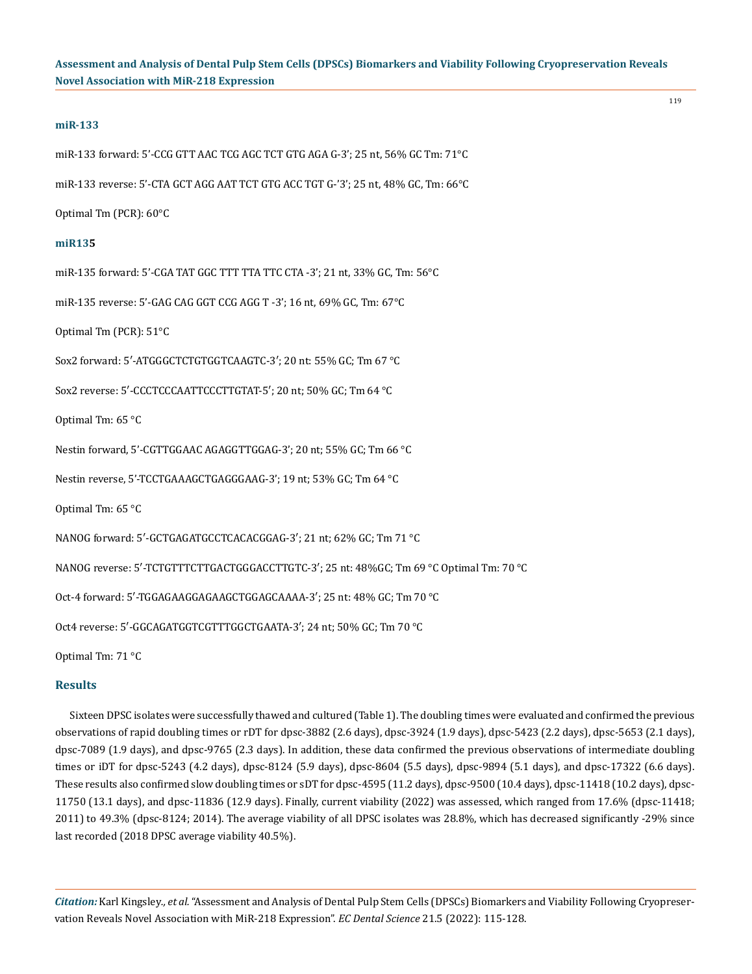#### **miR-133**

miR-133 forward: 5'-CCG GTT AAC TCG AGC TCT GTG AGA G-3'; 25 nt, 56% GC Tm: 71°C

miR-133 reverse: 5'-CTA GCT AGG AAT TCT GTG ACC TGT G-'3'; 25 nt, 48% GC, Tm: 66°C

Optimal Tm (PCR): 60°C

#### **miR135**

miR-135 forward: 5'-CGA TAT GGC TTT TTA TTC CTA -3'; 21 nt, 33% GC, Tm: 56°C

miR-135 reverse: 5'-GAG CAG GGT CCG AGG T -3'; 16 nt, 69% GC, Tm: 67°C

Optimal Tm (PCR): 51°C

Sox2 forward: 5′-ATGGGCTCTGTGGTCAAGTC-3′; 20 nt: 55% GC; Tm 67 °C

Sox2 reverse: 5′-CCCTCCCAATTCCCTTGTAT-5′; 20 nt; 50% GC; Tm 64 °C

Optimal Tm: 65 °C

Nestin forward, 5'-CGTTGGAAC AGAGGTTGGAG-3'; 20 nt; 55% GC; Tm 66 °C

Nestin reverse, 5'-TCCTGAAAGCTGAGGGAAG-3'; 19 nt; 53% GC; Tm 64 °C

Optimal Tm: 65 °C

NANOG forward: 5′-GCTGAGATGCCTCACACGGAG-3′; 21 nt; 62% GC; Tm 71 °C

NANOG reverse: 5′-TCTGTTTCTTGACTGGGACCTTGTC-3′; 25 nt: 48%GC; Tm 69 °C Optimal Tm: 70 °C

Oct-4 forward: 5′-TGGAGAAGGAGAAGCTGGAGCAAAA-3′; 25 nt: 48% GC; Tm 70 °C

Oct4 reverse: 5′-GGCAGATGGTCGTTTGGCTGAATA-3′; 24 nt; 50% GC; Tm 70 °C

Optimal Tm: 71 °C

## **Results**

Sixteen DPSC isolates were successfully thawed and cultured (Table 1). The doubling times were evaluated and confirmed the previous observations of rapid doubling times or rDT for dpsc-3882 (2.6 days), dpsc-3924 (1.9 days), dpsc-5423 (2.2 days), dpsc-5653 (2.1 days), dpsc-7089 (1.9 days), and dpsc-9765 (2.3 days). In addition, these data confirmed the previous observations of intermediate doubling times or iDT for dpsc-5243 (4.2 days), dpsc-8124 (5.9 days), dpsc-8604 (5.5 days), dpsc-9894 (5.1 days), and dpsc-17322 (6.6 days). These results also confirmed slow doubling times or sDT for dpsc-4595 (11.2 days), dpsc-9500 (10.4 days), dpsc-11418 (10.2 days), dpsc-11750 (13.1 days), and dpsc-11836 (12.9 days). Finally, current viability (2022) was assessed, which ranged from 17.6% (dpsc-11418; 2011) to 49.3% (dpsc-8124; 2014). The average viability of all DPSC isolates was 28.8%, which has decreased significantly -29% since last recorded (2018 DPSC average viability 40.5%).

*Citation:* Karl Kingsley*., et al.* "Assessment and Analysis of Dental Pulp Stem Cells (DPSCs) Biomarkers and Viability Following Cryopreservation Reveals Novel Association with MiR-218 Expression". *EC Dental Science* 21.5 (2022): 115-128.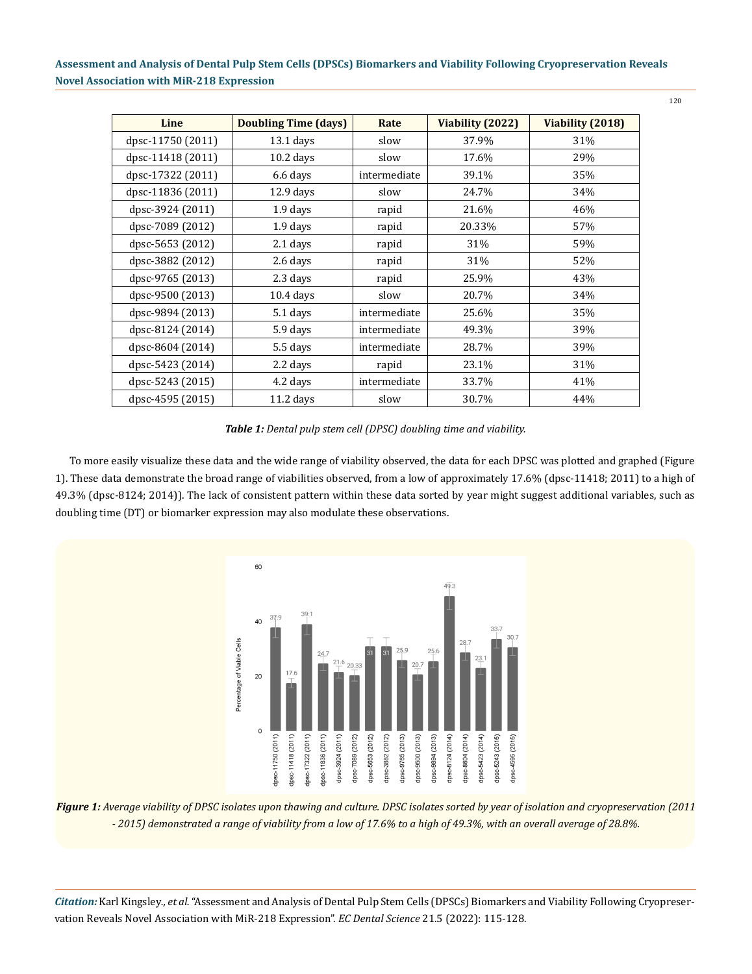| Line              | <b>Doubling Time (days)</b> | Rate         | Viability (2022) | Viability (2018) |
|-------------------|-----------------------------|--------------|------------------|------------------|
| dpsc-11750 (2011) | $13.1$ days                 | slow         | 37.9%            | 31%              |
| dpsc-11418 (2011) | $10.2$ days                 | slow         | 17.6%            | 29%              |
| dpsc-17322 (2011) | 6.6 days                    | intermediate | 39.1%            | 35%              |
| dpsc-11836 (2011) | $12.9$ days                 | slow         | 24.7%            | 34%              |
| dpsc-3924 (2011)  | 1.9 days                    | rapid        | 21.6%            | 46%              |
| dpsc-7089 (2012)  | 1.9 days                    | rapid        | 20.33%           | 57%              |
| dpsc-5653 (2012)  | $2.1$ days                  | rapid        | 31%              | 59%              |
| dpsc-3882 (2012)  | 2.6 days                    | rapid        | 31%              | 52%              |
| dpsc-9765 (2013)  | 2.3 days                    | rapid        | 25.9%            | 43%              |
| dpsc-9500 (2013)  | $10.4$ days                 | slow         | 20.7%            | 34%              |
| dpsc-9894 (2013)  | 5.1 days                    | intermediate | 25.6%            | 35%              |
| dpsc-8124 (2014)  | 5.9 days                    | intermediate | 49.3%            | 39%              |
| dpsc-8604 (2014)  | 5.5 days                    | intermediate | 28.7%            | 39%              |
| dpsc-5423 (2014)  | 2.2 days                    | rapid        | 23.1%            | 31%              |
| dpsc-5243 (2015)  | 4.2 days                    | intermediate | 33.7%            | 41%              |
| dpsc-4595 (2015)  | $11.2$ days                 | slow         | 30.7%            | 44%              |

*Table 1: Dental pulp stem cell (DPSC) doubling time and viability.*

To more easily visualize these data and the wide range of viability observed, the data for each DPSC was plotted and graphed (Figure 1). These data demonstrate the broad range of viabilities observed, from a low of approximately 17.6% (dpsc-11418; 2011) to a high of 49.3% (dpsc-8124; 2014)). The lack of consistent pattern within these data sorted by year might suggest additional variables, such as doubling time (DT) or biomarker expression may also modulate these observations.



*Figure 1: Average viability of DPSC isolates upon thawing and culture. DPSC isolates sorted by year of isolation and cryopreservation (2011 - 2015) demonstrated a range of viability from a low of 17.6% to a high of 49.3%, with an overall average of 28.8%.* 

*Citation:* Karl Kingsley*., et al.* "Assessment and Analysis of Dental Pulp Stem Cells (DPSCs) Biomarkers and Viability Following Cryopreservation Reveals Novel Association with MiR-218 Expression". *EC Dental Science* 21.5 (2022): 115-128.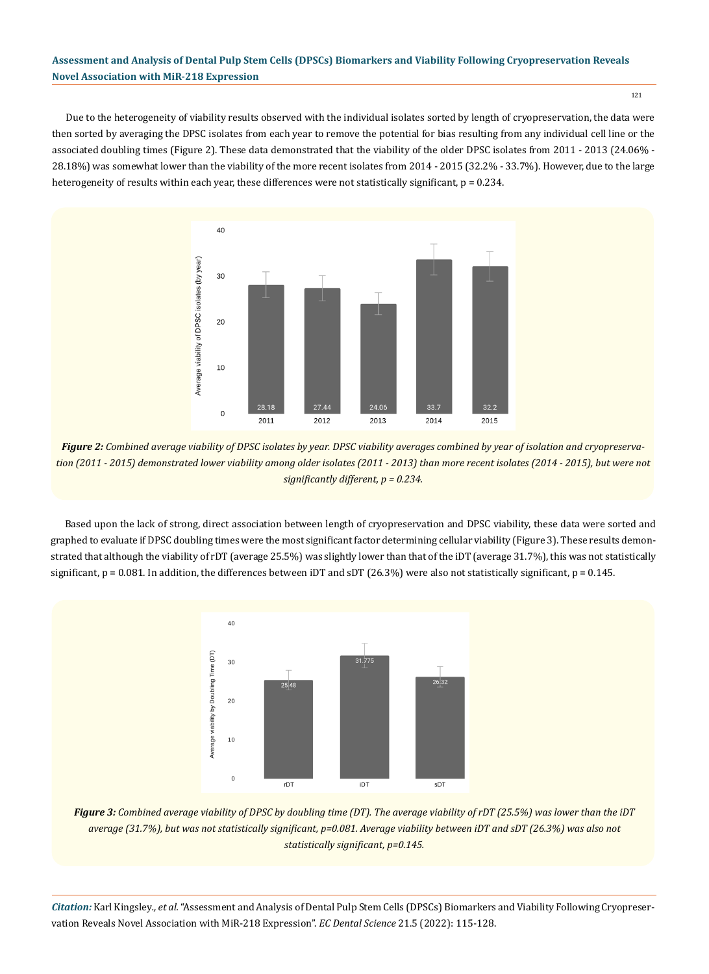Due to the heterogeneity of viability results observed with the individual isolates sorted by length of cryopreservation, the data were then sorted by averaging the DPSC isolates from each year to remove the potential for bias resulting from any individual cell line or the associated doubling times (Figure 2). These data demonstrated that the viability of the older DPSC isolates from 2011 - 2013 (24.06% - 28.18%) was somewhat lower than the viability of the more recent isolates from 2014 - 2015 (32.2% - 33.7%). However, due to the large heterogeneity of results within each year, these differences were not statistically significant,  $p = 0.234$ .



*Figure 2: Combined average viability of DPSC isolates by year. DPSC viability averages combined by year of isolation and cryopreservation (2011 - 2015) demonstrated lower viability among older isolates (2011 - 2013) than more recent isolates (2014 - 2015), but were not significantly different, p = 0.234.* 

Based upon the lack of strong, direct association between length of cryopreservation and DPSC viability, these data were sorted and graphed to evaluate if DPSC doubling times were the most significant factor determining cellular viability (Figure 3). These results demonstrated that although the viability of rDT (average 25.5%) was slightly lower than that of the iDT (average 31.7%), this was not statistically significant,  $p = 0.081$ . In addition, the differences between iDT and sDT (26.3%) were also not statistically significant,  $p = 0.145$ .



*Figure 3: Combined average viability of DPSC by doubling time (DT). The average viability of rDT (25.5%) was lower than the iDT average (31.7%), but was not statistically significant, p=0.081. Average viability between iDT and sDT (26.3%) was also not statistically significant, p=0.145.* 

*Citation:* Karl Kingsley*., et al.* "Assessment and Analysis of Dental Pulp Stem Cells (DPSCs) Biomarkers and Viability Following Cryopreservation Reveals Novel Association with MiR-218 Expression". *EC Dental Science* 21.5 (2022): 115-128.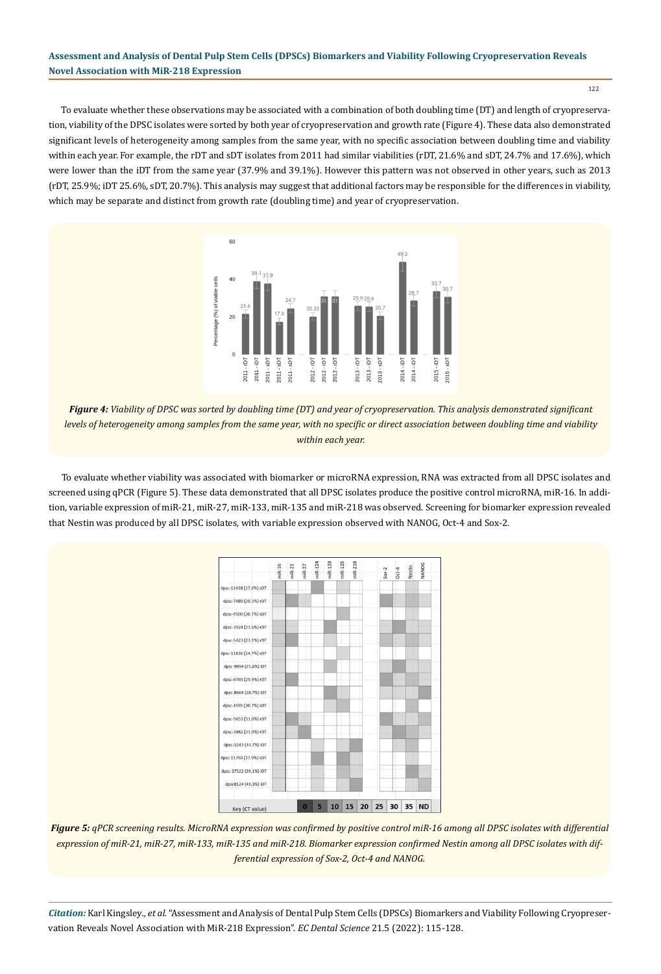To evaluate whether these observations may be associated with a combination of both doubling time (DT) and length of cryopreservation, viability of the DPSC isolates were sorted by both year of cryopreservation and growth rate (Figure 4). These data also demonstrated significant levels of heterogeneity among samples from the same year, with no specific association between doubling time and viability within each year. For example, the rDT and sDT isolates from 2011 had similar viabilities (rDT, 21.6% and sDT, 24.7% and 17.6%), which were lower than the iDT from the same year (37.9% and 39.1%). However this pattern was not observed in other years, such as 2013 (rDT, 25.9%; iDT 25.6%, sDT, 20.7%). This analysis may suggest that additional factors may be responsible for the differences in viability, which may be separate and distinct from growth rate (doubling time) and year of cryopreservation.



*Figure 4: Viability of DPSC was sorted by doubling time (DT) and year of cryopreservation. This analysis demonstrated significant levels of heterogeneity among samples from the same year, with no specific or direct association between doubling time and viability within each year.*

To evaluate whether viability was associated with biomarker or microRNA expression, RNA was extracted from all DPSC isolates and screened using qPCR (Figure 5). These data demonstrated that all DPSC isolates produce the positive control microRNA, miR-16. In addition, variable expression of miR-21, miR-27, miR-133, miR-135 and miR-218 was observed. Screening for biomarker expression revealed that Nestin was produced by all DPSC isolates, with variable expression observed with NANOG, Oct-4 and Sox-2.



*Figure 5: qPCR screening results. MicroRNA expression was confirmed by positive control miR-16 among all DPSC isolates with differential expression of miR-21, miR-27, miR-133, miR-135 and miR-218. Biomarker expression confirmed Nestin among all DPSC isolates with differential expression of Sox-2, Oct-4 and NANOG.*

*Citation:* Karl Kingsley*., et al.* "Assessment and Analysis of Dental Pulp Stem Cells (DPSCs) Biomarkers and Viability Following Cryopreservation Reveals Novel Association with MiR-218 Expression". *EC Dental Science* 21.5 (2022): 115-128.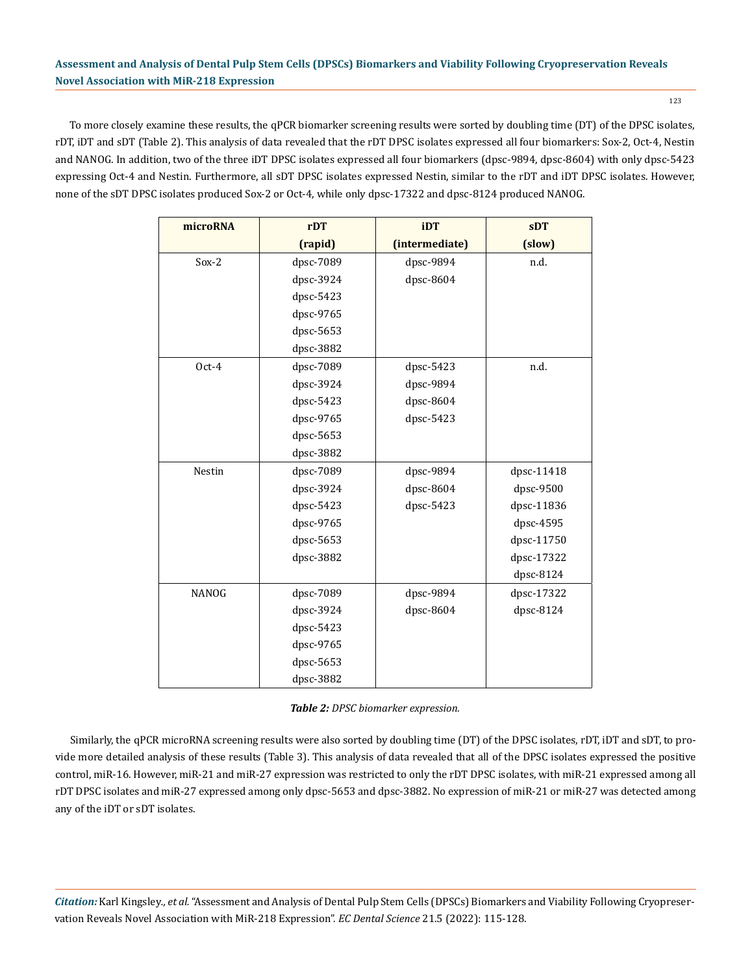To more closely examine these results, the qPCR biomarker screening results were sorted by doubling time (DT) of the DPSC isolates, rDT, iDT and sDT (Table 2). This analysis of data revealed that the rDT DPSC isolates expressed all four biomarkers: Sox-2, Oct-4, Nestin and NANOG. In addition, two of the three iDT DPSC isolates expressed all four biomarkers (dpsc-9894, dpsc-8604) with only dpsc-5423 expressing Oct-4 and Nestin. Furthermore, all sDT DPSC isolates expressed Nestin, similar to the rDT and iDT DPSC isolates. However, none of the sDT DPSC isolates produced Sox-2 or Oct-4, while only dpsc-17322 and dpsc-8124 produced NANOG.

| microRNA     | rDT       | iDT            | sDT        |  |
|--------------|-----------|----------------|------------|--|
|              | (rapid)   | (intermediate) | (slow)     |  |
| $Sox-2$      | dpsc-7089 | dpsc-9894      | n.d.       |  |
|              | dpsc-3924 | dpsc-8604      |            |  |
|              | dpsc-5423 |                |            |  |
|              | dpsc-9765 |                |            |  |
|              | dpsc-5653 |                |            |  |
|              | dpsc-3882 |                |            |  |
| Oct-4        | dpsc-7089 | dpsc-5423      | n.d.       |  |
|              | dpsc-3924 | dpsc-9894      |            |  |
|              | dpsc-5423 | dpsc-8604      |            |  |
|              | dpsc-9765 | dpsc-5423      |            |  |
|              | dpsc-5653 |                |            |  |
|              | dpsc-3882 |                |            |  |
| Nestin       | dpsc-7089 | dpsc-9894      | dpsc-11418 |  |
|              | dpsc-3924 | dpsc-8604      | dpsc-9500  |  |
|              | dpsc-5423 | dpsc-5423      | dpsc-11836 |  |
|              | dpsc-9765 |                | dpsc-4595  |  |
|              | dpsc-5653 |                | dpsc-11750 |  |
|              | dpsc-3882 |                | dpsc-17322 |  |
|              |           |                | dpsc-8124  |  |
| <b>NANOG</b> | dpsc-7089 | dpsc-9894      | dpsc-17322 |  |
|              | dpsc-3924 | dpsc-8604      | dpsc-8124  |  |
|              | dpsc-5423 |                |            |  |
|              | dpsc-9765 |                |            |  |
|              | dpsc-5653 |                |            |  |
|              | dpsc-3882 |                |            |  |

Similarly, the qPCR microRNA screening results were also sorted by doubling time (DT) of the DPSC isolates, rDT, iDT and sDT, to provide more detailed analysis of these results (Table 3). This analysis of data revealed that all of the DPSC isolates expressed the positive control, miR-16. However, miR-21 and miR-27 expression was restricted to only the rDT DPSC isolates, with miR-21 expressed among all rDT DPSC isolates and miR-27 expressed among only dpsc-5653 and dpsc-3882. No expression of miR-21 or miR-27 was detected among any of the iDT or sDT isolates.

*Citation:* Karl Kingsley*., et al.* "Assessment and Analysis of Dental Pulp Stem Cells (DPSCs) Biomarkers and Viability Following Cryopreservation Reveals Novel Association with MiR-218 Expression". *EC Dental Science* 21.5 (2022): 115-128.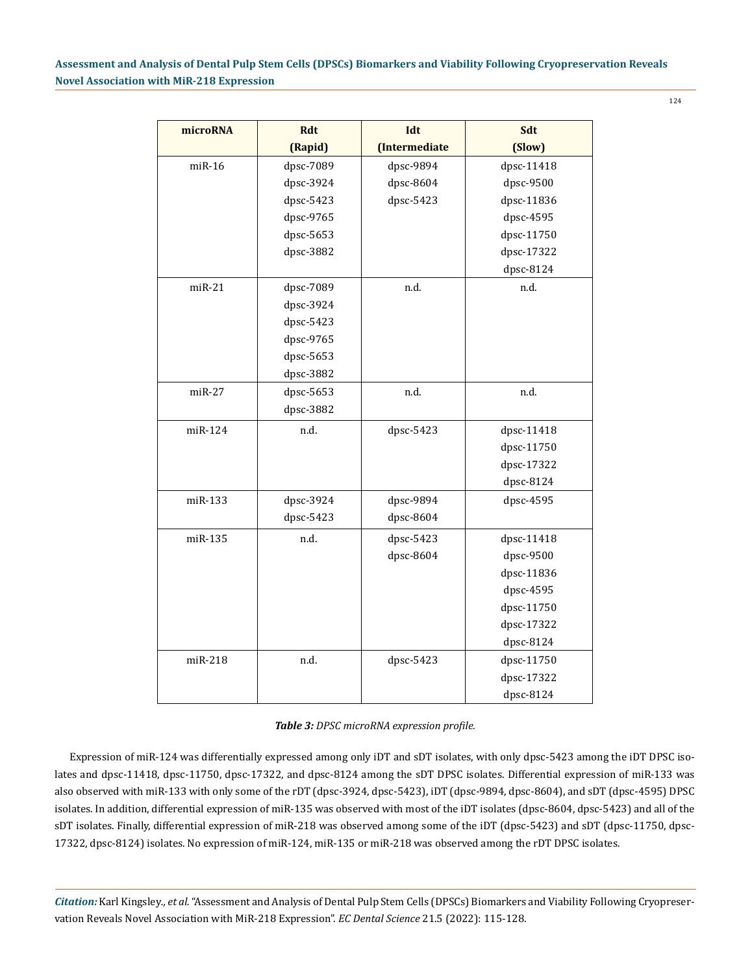| microRNA | <b>Rdt</b> | Idt           | Sdt        |
|----------|------------|---------------|------------|
|          | (Rapid)    | (Intermediate | (Slow)     |
| $miR-16$ | dpsc-7089  | dpsc-9894     | dpsc-11418 |
|          | dpsc-3924  | dpsc-8604     | dpsc-9500  |
|          | dpsc-5423  | dpsc-5423     | dpsc-11836 |
|          | dpsc-9765  |               | dpsc-4595  |
|          | dpsc-5653  |               | dpsc-11750 |
|          | dpsc-3882  |               | dpsc-17322 |
|          |            |               | dpsc-8124  |
| $miR-21$ | dpsc-7089  | n.d.          | n.d.       |
|          | dpsc-3924  |               |            |
|          | dpsc-5423  |               |            |
|          | dpsc-9765  |               |            |
|          | dpsc-5653  |               |            |
|          | dpsc-3882  |               |            |
| $miR-27$ | dpsc-5653  | n.d.          | n.d.       |
|          | dpsc-3882  |               |            |
| miR-124  | n.d.       | dpsc-5423     | dpsc-11418 |
|          |            |               | dpsc-11750 |
|          |            |               | dpsc-17322 |
|          |            |               | dpsc-8124  |
| miR-133  | dpsc-3924  | dpsc-9894     | dpsc-4595  |
|          | dpsc-5423  | dpsc-8604     |            |
| miR-135  | n.d.       | dpsc-5423     | dpsc-11418 |
|          |            | dpsc-8604     | dpsc-9500  |
|          |            |               | dpsc-11836 |
|          |            |               | dpsc-4595  |
|          |            |               | dpsc-11750 |
|          |            |               | dpsc-17322 |
|          |            |               | dpsc-8124  |
| miR-218  | n.d.       | dpsc-5423     | dpsc-11750 |
|          |            |               | dpsc-17322 |
|          |            |               | dpsc-8124  |

|  |  | Table 3: DPSC microRNA expression profile. |  |
|--|--|--------------------------------------------|--|
|  |  |                                            |  |

Expression of miR-124 was differentially expressed among only iDT and sDT isolates, with only dpsc-5423 among the iDT DPSC isolates and dpsc-11418, dpsc-11750, dpsc-17322, and dpsc-8124 among the sDT DPSC isolates. Differential expression of miR-133 was also observed with miR-133 with only some of the rDT (dpsc-3924, dpsc-5423), iDT (dpsc-9894, dpsc-8604), and sDT (dpsc-4595) DPSC isolates. In addition, differential expression of miR-135 was observed with most of the iDT isolates (dpsc-8604, dpsc-5423) and all of the sDT isolates. Finally, differential expression of miR-218 was observed among some of the iDT (dpsc-5423) and sDT (dpsc-11750, dpsc-17322, dpsc-8124) isolates. No expression of miR-124, miR-135 or miR-218 was observed among the rDT DPSC isolates.

*Citation:* Karl Kingsley*., et al.* "Assessment and Analysis of Dental Pulp Stem Cells (DPSCs) Biomarkers and Viability Following Cryopreservation Reveals Novel Association with MiR-218 Expression". *EC Dental Science* 21.5 (2022): 115-128.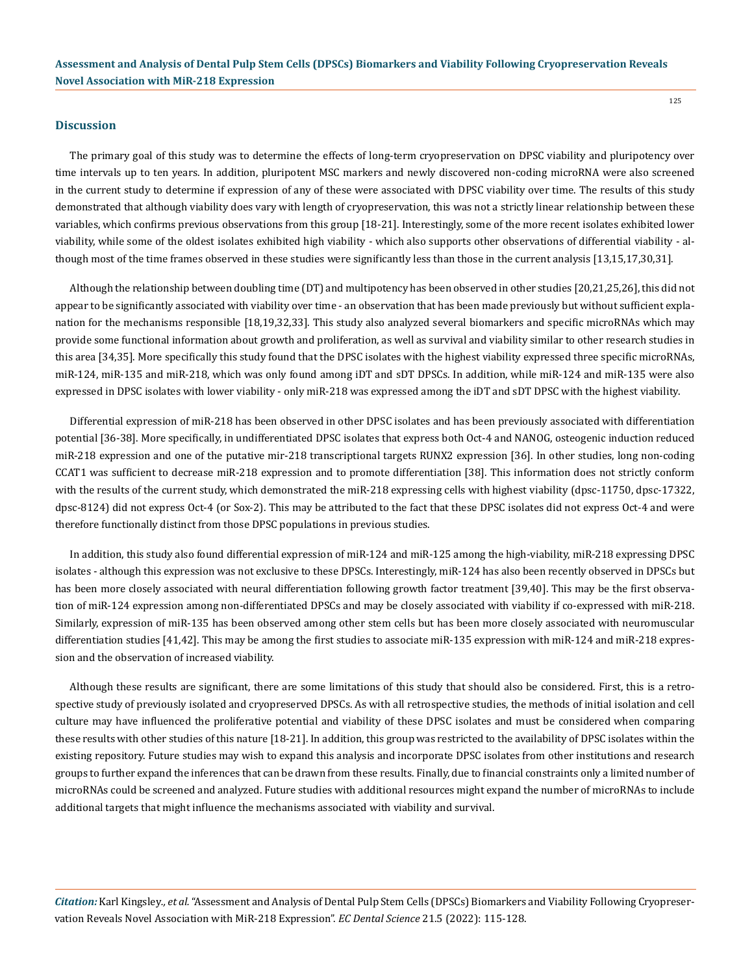#### **Discussion**

The primary goal of this study was to determine the effects of long-term cryopreservation on DPSC viability and pluripotency over time intervals up to ten years. In addition, pluripotent MSC markers and newly discovered non-coding microRNA were also screened in the current study to determine if expression of any of these were associated with DPSC viability over time. The results of this study demonstrated that although viability does vary with length of cryopreservation, this was not a strictly linear relationship between these variables, which confirms previous observations from this group [18-21]. Interestingly, some of the more recent isolates exhibited lower viability, while some of the oldest isolates exhibited high viability - which also supports other observations of differential viability - although most of the time frames observed in these studies were significantly less than those in the current analysis [13,15,17,30,31].

Although the relationship between doubling time (DT) and multipotency has been observed in other studies [20,21,25,26], this did not appear to be significantly associated with viability over time - an observation that has been made previously but without sufficient explanation for the mechanisms responsible [18,19,32,33]. This study also analyzed several biomarkers and specific microRNAs which may provide some functional information about growth and proliferation, as well as survival and viability similar to other research studies in this area [34,35]. More specifically this study found that the DPSC isolates with the highest viability expressed three specific microRNAs, miR-124, miR-135 and miR-218, which was only found among iDT and sDT DPSCs. In addition, while miR-124 and miR-135 were also expressed in DPSC isolates with lower viability - only miR-218 was expressed among the iDT and sDT DPSC with the highest viability.

Differential expression of miR-218 has been observed in other DPSC isolates and has been previously associated with differentiation potential [36-38]. More specifically, in undifferentiated DPSC isolates that express both Oct-4 and NANOG, osteogenic induction reduced miR-218 expression and one of the putative mir-218 transcriptional targets RUNX2 expression [36]. In other studies, long non-coding CCAT1 was sufficient to decrease miR-218 expression and to promote differentiation [38]. This information does not strictly conform with the results of the current study, which demonstrated the miR-218 expressing cells with highest viability (dpsc-11750, dpsc-17322, dpsc-8124) did not express Oct-4 (or Sox-2). This may be attributed to the fact that these DPSC isolates did not express Oct-4 and were therefore functionally distinct from those DPSC populations in previous studies.

In addition, this study also found differential expression of miR-124 and miR-125 among the high-viability, miR-218 expressing DPSC isolates - although this expression was not exclusive to these DPSCs. Interestingly, miR-124 has also been recently observed in DPSCs but has been more closely associated with neural differentiation following growth factor treatment [39,40]. This may be the first observation of miR-124 expression among non-differentiated DPSCs and may be closely associated with viability if co-expressed with miR-218. Similarly, expression of miR-135 has been observed among other stem cells but has been more closely associated with neuromuscular differentiation studies [41,42]. This may be among the first studies to associate miR-135 expression with miR-124 and miR-218 expression and the observation of increased viability.

Although these results are significant, there are some limitations of this study that should also be considered. First, this is a retrospective study of previously isolated and cryopreserved DPSCs. As with all retrospective studies, the methods of initial isolation and cell culture may have influenced the proliferative potential and viability of these DPSC isolates and must be considered when comparing these results with other studies of this nature [18-21]. In addition, this group was restricted to the availability of DPSC isolates within the existing repository. Future studies may wish to expand this analysis and incorporate DPSC isolates from other institutions and research groups to further expand the inferences that can be drawn from these results. Finally, due to financial constraints only a limited number of microRNAs could be screened and analyzed. Future studies with additional resources might expand the number of microRNAs to include additional targets that might influence the mechanisms associated with viability and survival.

*Citation:* Karl Kingsley*., et al.* "Assessment and Analysis of Dental Pulp Stem Cells (DPSCs) Biomarkers and Viability Following Cryopreservation Reveals Novel Association with MiR-218 Expression". *EC Dental Science* 21.5 (2022): 115-128.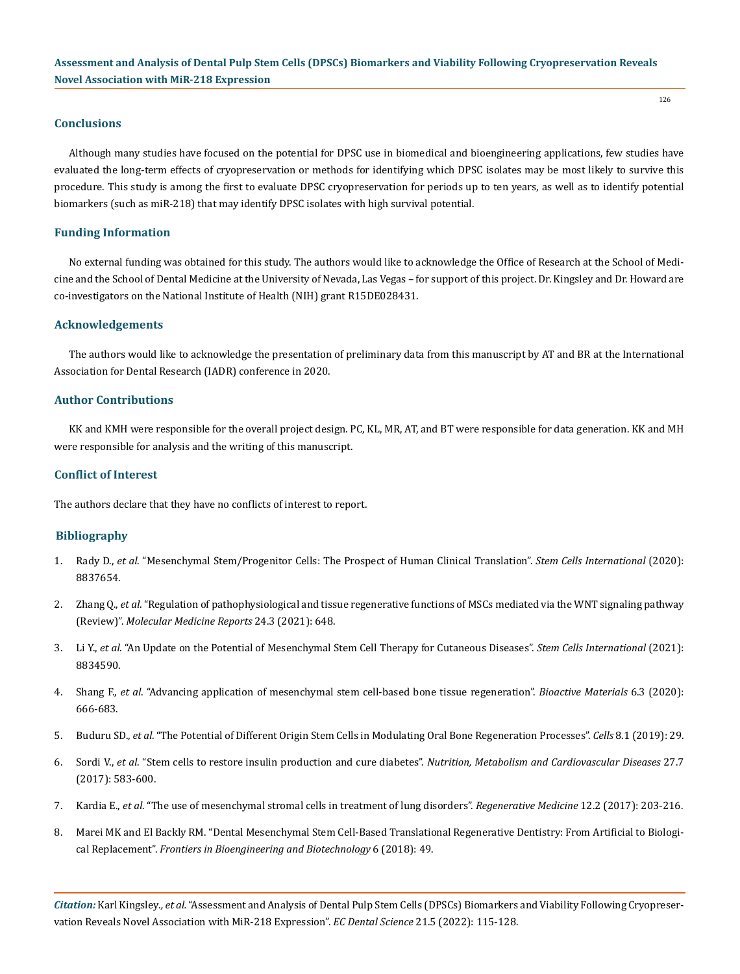## **Conclusions**

Although many studies have focused on the potential for DPSC use in biomedical and bioengineering applications, few studies have evaluated the long-term effects of cryopreservation or methods for identifying which DPSC isolates may be most likely to survive this procedure. This study is among the first to evaluate DPSC cryopreservation for periods up to ten years, as well as to identify potential biomarkers (such as miR-218) that may identify DPSC isolates with high survival potential.

#### **Funding Information**

No external funding was obtained for this study. The authors would like to acknowledge the Office of Research at the School of Medicine and the School of Dental Medicine at the University of Nevada, Las Vegas – for support of this project. Dr. Kingsley and Dr. Howard are co-investigators on the National Institute of Health (NIH) grant R15DE028431.

## **Acknowledgements**

The authors would like to acknowledge the presentation of preliminary data from this manuscript by AT and BR at the International Association for Dental Research (IADR) conference in 2020.

#### **Author Contributions**

KK and KMH were responsible for the overall project design. PC, KL, MR, AT, and BT were responsible for data generation. KK and MH were responsible for analysis and the writing of this manuscript.

## **Conflict of Interest**

The authors declare that they have no conflicts of interest to report.

#### **Bibliography**

- 1. Rady D., *et al*[. "Mesenchymal Stem/Progenitor Cells: The Prospect of Human Clinical Translation".](https://www.hindawi.com/journals/sci/2020/8837654/) *Stem Cells International* (2020): [8837654.](https://www.hindawi.com/journals/sci/2020/8837654/)
- 2. Zhang Q., *et al*[. "Regulation of pathophysiological and tissue regenerative functions of MSCs mediated via the WNT signaling pathway](https://www.spandidos-publications.com/10.3892/mmr.2021.12287)  (Review)". *[Molecular Medicine Reports](https://www.spandidos-publications.com/10.3892/mmr.2021.12287)* 24.3 (2021): 648.
- 3. Li Y., *et al*[. "An Update on the Potential of Mesenchymal Stem Cell Therapy for Cutaneous Diseases".](https://pubmed.ncbi.nlm.nih.gov/33505474/) *Stem Cells International* (2021): [8834590.](https://pubmed.ncbi.nlm.nih.gov/33505474/)
- 4. Shang F., *et al*[. "Advancing application of mesenchymal stem cell-based bone tissue regeneration".](https://pubmed.ncbi.nlm.nih.gov/33005830/) *Bioactive Materials* 6.3 (2020): [666-683.](https://pubmed.ncbi.nlm.nih.gov/33005830/)
- 5. Buduru SD., *et al*[. "The Potential of Different Origin Stem Cells in Modulating Oral Bone Regeneration Processes".](https://pubmed.ncbi.nlm.nih.gov/30625993/) *Cells* 8.1 (2019): 29.
- 6. Sordi V., *et al*[. "Stem cells to restore insulin production and cure diabetes".](https://pubmed.ncbi.nlm.nih.gov/28545927/) *Nutrition, Metabolism and Cardiovascular Diseases* 27.7 [\(2017\): 583-600.](https://pubmed.ncbi.nlm.nih.gov/28545927/)
- 7. Kardia E., *et al*[. "The use of mesenchymal stromal cells in treatment of lung disorders".](https://pubmed.ncbi.nlm.nih.gov/28244823/) *Regenerative Medicine* 12.2 (2017): 203-216.
- 8. [Marei MK and El Backly RM. "Dental Mesenchymal Stem Cell-Based Translational Regenerative Dentistry: From Artificial to Biologi](https://www.ncbi.nlm.nih.gov/pmc/articles/PMC5941981/)cal Replacement". *[Frontiers in Bioengineering and Biotechnology](https://www.ncbi.nlm.nih.gov/pmc/articles/PMC5941981/)* 6 (2018): 49.

*Citation:* Karl Kingsley*., et al.* "Assessment and Analysis of Dental Pulp Stem Cells (DPSCs) Biomarkers and Viability Following Cryopreservation Reveals Novel Association with MiR-218 Expression". *EC Dental Science* 21.5 (2022): 115-128.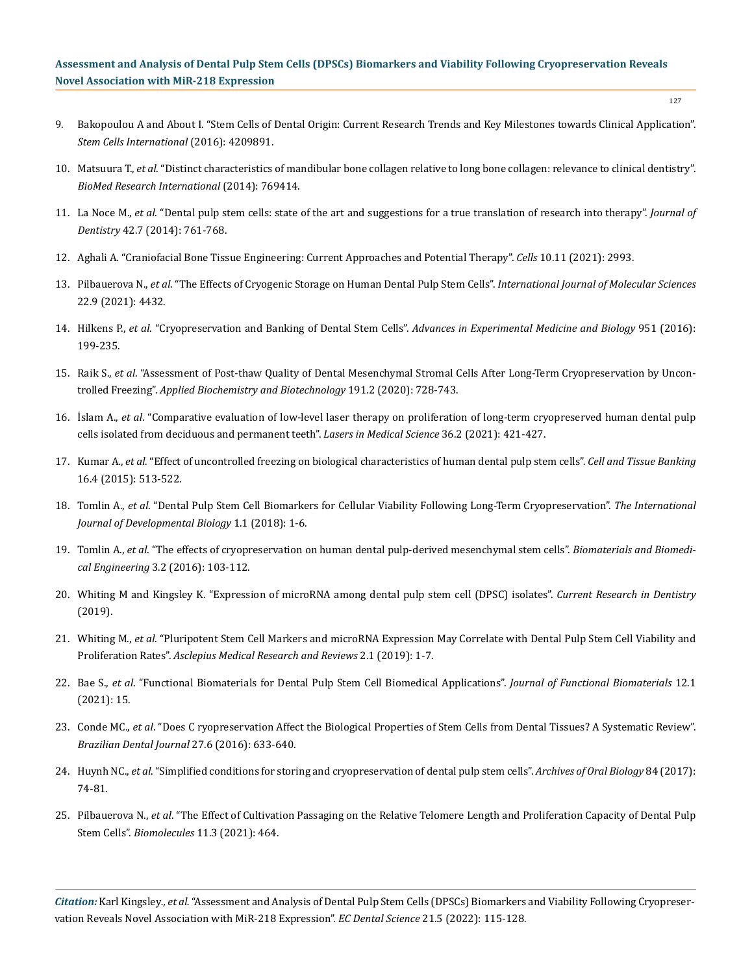127

- 9. [Bakopoulou A and About I. "Stem Cells of Dental Origin: Current Research Trends and Key Milestones towards Clinical Application".](https://pubmed.ncbi.nlm.nih.gov/27818690/)  *[Stem Cells International](https://pubmed.ncbi.nlm.nih.gov/27818690/)* (2016): 4209891.
- 10. Matsuura T., *et al*[. "Distinct characteristics of mandibular bone collagen relative to long bone collagen: relevance to clinical dentistry".](https://pubmed.ncbi.nlm.nih.gov/24818151/)  *[BioMed Research International](https://pubmed.ncbi.nlm.nih.gov/24818151/)* (2014): 769414.
- 11. La Noce M., *et al*[. "Dental pulp stem cells: state of the art and suggestions for a true translation of research into therapy".](https://pubmed.ncbi.nlm.nih.gov/24589847/) *Journal of Dentistry* [42.7 \(2014\): 761-768.](https://pubmed.ncbi.nlm.nih.gov/24589847/)
- 12. [Aghali A. "Craniofacial Bone Tissue Engineering: Current Approaches and Potential Therapy".](https://pubmed.ncbi.nlm.nih.gov/34831216/) *Cells* 10.11 (2021): 2993.
- 13. Pilbauerova N., *et al*[. "The Effects of Cryogenic Storage on Human Dental Pulp Stem Cells".](https://www.mdpi.com/1422-0067/22/9/4432) *International Journal of Molecular Sciences* [22.9 \(2021\): 4432.](https://www.mdpi.com/1422-0067/22/9/4432)
- 14. Hilkens P., *et al*[. "Cryopreservation and Banking of Dental Stem Cells".](https://pubmed.ncbi.nlm.nih.gov/27837566/) *Advances in Experimental Medicine and Biology* 951 (2016): [199-235.](https://pubmed.ncbi.nlm.nih.gov/27837566/)
- 15. Raik S., *et al*[. "Assessment of Post-thaw Quality of Dental Mesenchymal Stromal Cells After Long-Term Cryopreservation by Uncon](https://pubmed.ncbi.nlm.nih.gov/31853872/)trolled Freezing". *[Applied Biochemistry and Biotechnology](https://pubmed.ncbi.nlm.nih.gov/31853872/)* 191.2 (2020): 728-743.
- 16. İslam A., *et al*[. "Comparative evaluation of low-level laser therapy on proliferation of long-term cryopreserved human dental pulp](https://pubmed.ncbi.nlm.nih.gov/32613417/)  [cells isolated from deciduous and permanent teeth".](https://pubmed.ncbi.nlm.nih.gov/32613417/) *Lasers in Medical Science* 36.2 (2021): 421-427.
- 17. Kumar A., *et al*[. "Effect of uncontrolled freezing on biological characteristics of human dental pulp stem cells".](https://pubmed.ncbi.nlm.nih.gov/25663639/) *Cell and Tissue Banking* [16.4 \(2015\): 513-522.](https://pubmed.ncbi.nlm.nih.gov/25663639/)
- 18. Tomlin A., *et al*[. "Dental Pulp Stem Cell Biomarkers for Cellular Viability Following Long-Term Cryopreservation".](https://www.semanticscholar.org/paper/Dental-Pulp-Stem-Cell-Biomarkers-for-Cellular/b83b461a4b6557c3f168a964695c6c697dd86557) *The International [Journal of Developmental Biology](https://www.semanticscholar.org/paper/Dental-Pulp-Stem-Cell-Biomarkers-for-Cellular/b83b461a4b6557c3f168a964695c6c697dd86557)* 1.1 (2018): 1-6.
- 19. Tomlin A., *et al*[. "The effects of cryopreservation on human dental pulp-derived mesenchymal stem cells".](http://koreascience.or.kr/article/JAKO201610953524592.page) *Biomaterials and Biomedical Engineering* [3.2 \(2016\): 103-112.](http://koreascience.or.kr/article/JAKO201610953524592.page)
- 20. [Whiting M and Kingsley K. "Expression of microRNA among dental pulp stem cell \(DPSC\) isolates".](https://thescipub.com/abstract/crdsp.2018.12.18) *Current Research in Dentistry* [\(2019\).](https://thescipub.com/abstract/crdsp.2018.12.18)
- 21. Whiting M., *et al*[. "Pluripotent Stem Cell Markers and microRNA Expression May Correlate with Dental Pulp Stem Cell Viability and](https://digitalscholarship.unlv.edu/som_fac_articles/566/)  Proliferation Rates". *[Asclepius Medical Research and Reviews](https://digitalscholarship.unlv.edu/som_fac_articles/566/)* 2.1 (2019): 1-7.
- 22. Bae S., *et al*[. "Functional Biomaterials for Dental Pulp Stem Cell Biomedical Applications".](https://pubmed.ncbi.nlm.nih.gov/33668171/) *Journal of Functional Biomaterials* 12.1 [\(2021\): 15.](https://pubmed.ncbi.nlm.nih.gov/33668171/)
- 23. Conde MC., *et al*[. "Does C ryopreservation Affect the Biological Properties of Stem Cells from Dental Tissues? A Systematic Review".](https://www.scielo.br/j/bdj/a/6YvPcfS4cH3NhQwKC4ZJhWQ/?lang=en)  *[Brazilian Dental Journal](https://www.scielo.br/j/bdj/a/6YvPcfS4cH3NhQwKC4ZJhWQ/?lang=en)* 27.6 (2016): 633-640.
- 24. Huynh NC., *et al*[. "Simplified conditions for storing and cryopreservation of dental pulp stem cells".](https://pubmed.ncbi.nlm.nih.gov/28957734/) *Archives of Oral Biology* 84 (2017): [74-81.](https://pubmed.ncbi.nlm.nih.gov/28957734/)
- 25. Pilbauerova N., *et al*[. "The Effect of Cultivation Passaging on the Relative Telomere Length and Proliferation Capacity of Dental Pulp](https://pubmed.ncbi.nlm.nih.gov/33804786/)  Stem Cells". *Biomolecules* [11.3 \(2021\): 464.](https://pubmed.ncbi.nlm.nih.gov/33804786/)